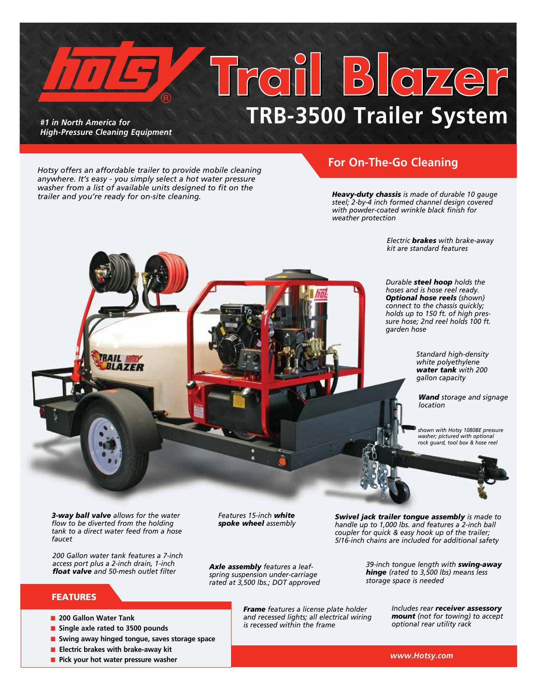*#1 in North America for High-Pressure Cleaning Equipment* 

# $\frac{1}{2}$   $\frac{1}{2}$ **TRB-3500 Trailer System**

*Hotsy offers an affordable trailer to provide mobile cleaning anywhere. It's easy - you simply select a hot water pressure washer from a list of available units designed to fit on the trailer and you're ready for on-site cleaning.* 

### **For On-The-Go Cleaning**

*Heavy-duty chassis is made of durable 10 gauge steel; 2-by-4 inch formed channel design covered with powder-coated wrinkle black finish for weather protection*

> *Electric brakes with brake-away kit are standard features*

*Durable steel hoop holds the hoses and is hose reel ready. Optional hose reels (shown) connect to the chassis quickly; holds up to 150 ft. of high pressure hose; 2nd reel holds 100 ft. garden hose*

> *Standard high-density white polyethylene water tank with 200 gallon capacity*

*Wand storage and signage location*

*shown with Hotsy 1080BE pressure washer; pictured with optional rock guard, tool box & hose reel*

*3-way ball valve allows for the water flow to be diverted from the holding tank to a direct water feed from a hose faucet*

*200 Gallon water tank features a 7-inch access port plus a 2-inch drain, 1-inch float valve and 50-mesh outlet filter*

### FEATURES

- **n** 200 Gallon Water Tank
- Single axle rated to 3500 pounds
- **n** Swing away hinged tongue, saves storage space
- **Electric brakes with brake-away kit**
- **n** Pick your hot water pressure washer

*Features 15-inch white spoke wheel assembly* 

*Axle assembly features a leafspring suspension under-carriage rated at 3,500 lbs.; DOT approved*

> *Frame features a license plate holder and recessed lights; all electrical wiring is recessed within the frame*

*Swivel jack trailer tongue assembly is made to handle up to 1,000 lbs. and features a 2-inch ball coupler for quick & easy hook up of the trailer; 5/16-inch chains are included for additional safety*

> *39-inch tongue length with swing-away hinge (rated to 3,500 lbs) means less storage space is needed*

> > *Includes rear receiver assessory mount (not for towing) to accept optional rear utility rack*